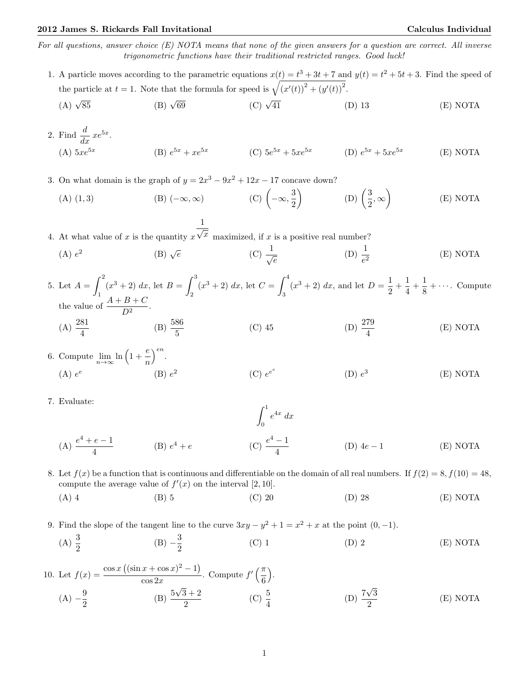For all questions, answer choice  $(E)$  NOTA means that none of the given answers for a question are correct. All inverse trigonometric functions have their traditional restricted ranges. Good luck!

- 1. A particle moves according to the parametric equations  $x(t) = t^3 + 3t + 7$  and  $y(t) = t^2 + 5t + 3$ . Find the speed of the particle at  $t = 1$ . Note that the formula for speed is  $\sqrt{(x'(t))^2 + (y'(t))^2}$ .
	- (A)  $\sqrt{85}$  $(B)$   $\sqrt{69}$  $(C)$   $\sqrt{41}$ (D) 13 (E) NOTA
- 2. Find  $\frac{d}{dx} xe^{5x}$ .  $(A)$  5 $xe^{5x}$ (B)  $e^{5x} + xe^{5x}$  (C)  $5e^{5x} + 5xe^{5x}$  (D)  $e^{5x} + 5xe^{5x}$ (E) NOTA
- 3. On what domain is the graph of  $y = 2x^3 9x^2 + 12x 17$  concave down?
	- (A) (1,3) (B)  $(-\infty, \infty)$  (C)  $\left(-\infty, \frac{3}{2}\right)$ 2  $\left( \text{D} \right) \left( \frac{3}{2} \right)$  $\left(\frac{3}{2},\infty\right)$ (E) NOTA

4. At what value of  $x$  is the quantity  $x$  $\frac{1}{\sqrt{x}}$  maximized, if x is a positive real number?

 $(A) e<sup>2</sup>$ (B)  $\sqrt{e}$  $\overline{e}$  (C)  $\frac{1}{\sqrt{e}}$ (D)  $\frac{1}{e^2}$ (E) NOTA

5. Let  $A = \int^2$ 1  $(x^3 + 2) dx$ , let  $B = \int_0^3$ 2  $(x^3 + 2) dx$ , let  $C = \int_0^4$ 3  $(x^3 + 2) dx$ , and let  $D = \frac{1}{2}$  $\frac{1}{2} + \frac{1}{4}$  $\frac{1}{4} + \frac{1}{8}$  $\frac{1}{8} + \cdots$  Compute the value of  $\frac{A+B+C}{D^2}$ .  $(A) \frac{281}{4}$ (B)  $\frac{586}{5}$ (C) 45 (D)  $\frac{279}{4}$ (E) NOTA

- 6. Compute  $\lim_{n\to\infty} \ln\left(1+\frac{e}{n}\right)$ n  $\Big)^{en}$ .  $(A) e^e$  $(B) e<sup>2</sup>$  $(C) e^{e^e}$  $(D) e<sup>3</sup>$ (E) NOTA
- 7. Evaluate:

(A) 
$$
\frac{e^4 + e - 1}{4}
$$
 (B)  $e^4 + e$  (C)  $\frac{e^4 - 1}{4}$  (D)  $4e - 1$  (E) NOTA

 $\int_0^1 e^{4x} dx$ 

- 8. Let  $f(x)$  be a function that is continuous and differentiable on the domain of all real numbers. If  $f(2) = 8$ ,  $f(10) = 48$ , compute the average value of  $f'(x)$  on the interval [2, 10].
	- (A) 4 (B) 5 (C) 20 (D) 28 (E) NOTA

9. Find the slope of the tangent line to the curve  $3xy - y^2 + 1 = x^2 + x$  at the point  $(0, -1)$ .

(A)  $\frac{3}{2}$  $(B) -\frac{3}{2}$ 2 (C) 1 (D) 2 (E) NOTA

10. Let 
$$
f(x) = \frac{\cos x ((\sin x + \cos x)^2 - 1)}{\cos 2x}
$$
. Compute  $f'(\frac{\pi}{6})$ .  
\n(A)  $-\frac{9}{2}$  \n(B)  $\frac{5\sqrt{3} + 2}{2}$  \n(C)  $\frac{5}{4}$  \n(D)  $\frac{7\sqrt{3}}{2}$  \n(E) NOTA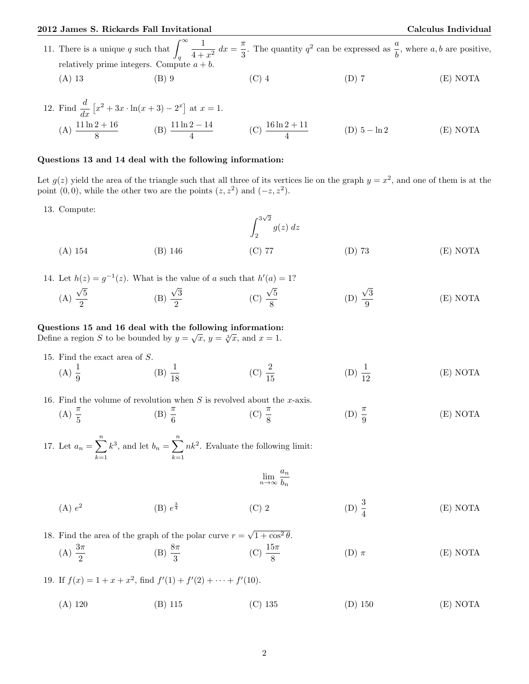11. There is a unique q such that  $\int_{-\infty}^{\infty}$ q 1  $\frac{1}{4+x^2} dx = \frac{\pi}{3}$  $\frac{\pi}{3}$ . The quantity  $q^2$  can be expressed as  $\frac{a}{b}$ , where a, b are positive, relatively prime integers. Compute  $a + b$ . (A) 13 (B) 9 (C) 4 (D) 7 (E) NOTA

12. Find 
$$
\frac{d}{dx} [x^2 + 3x \cdot \ln(x+3) - 2^x]
$$
 at  $x = 1$ .  
\n(A)  $\frac{11 \ln 2 + 16}{8}$  (B)  $\frac{11 \ln 2 - 14}{4}$  (C)  $\frac{16 \ln 2 + 11}{4}$  (D)  $5 - \ln 2$  (E) NOTA

## Questions 13 and 14 deal with the following information:

Let  $g(z)$  yield the area of the triangle such that all three of its vertices lie on the graph  $y = x^2$ , and one of them is at the point  $(0,0)$ , while the other two are the points  $(z, z^2)$  and  $(-z, z^2)$ .

13. Compute:

Z <sup>3</sup> √ 2 2 g(z) dz (A) 154 (B) 146 (C) 77 (D) 73 (E) NOTA

14. Let  $h(z) = g^{-1}(z)$ . What is the value of a such that  $h'(a) = 1$ ?

(A) √ 5  $\frac{1}{2}$  (B) √ 3  $\frac{1}{2}$  (C) √ 5 8 (D) √ 3 9 (E) NOTA

## Questions 15 and 16 deal with the following information:

Questions 15 and 16 deal with the following information.<br>Define a region S to be bounded by  $y = \sqrt{x}$ ,  $y = \sqrt[3]{x}$ , and  $x = 1$ .

- 15. Find the exact area of S.
	- (A)  $\frac{1}{9}$ (B)  $\frac{1}{18}$ (C)  $\frac{2}{15}$ (D)  $\frac{1}{12}$ (E) NOTA

16. Find the volume of revolution when  $S$  is revolved about the x-axis.

(A)  $\frac{\pi}{5}$ (B)  $\frac{\pi}{6}$ (C)  $\frac{\pi}{8}$ (D)  $\frac{\pi}{9}$ (E) NOTA

17. Let  $a_n = \sum_{n=1}^n a_n$  $k=1$  $k^3$ , and let  $b_n = \sum_{n=1}^n$  $k=1$  $nk^2$ . Evaluate the following limit:

$$
\lim_{n \to \infty} \frac{a_n}{b_n}
$$

 $(A) e<sup>2</sup>$  $(B) e^{\frac{3}{4}}$  $\frac{3}{4}$  (C) 2 (D)  $\frac{3}{4}$ (E) NOTA

18. Find the area of the graph of the polar curve  $r =$  $\sqrt{1 + \cos^2 \theta}$ .

(A)  $\frac{3\pi}{2}$ (B)  $\frac{8\pi}{3}$ (C)  $\frac{15\pi}{8}$ (D)  $\pi$  (E) NOTA

19. If  $f(x) = 1 + x + x^2$ , find  $f'(1) + f'(2) + \cdots + f'(10)$ .

(A) 120 (B) 115 (C) 135 (D) 150 (E) NOTA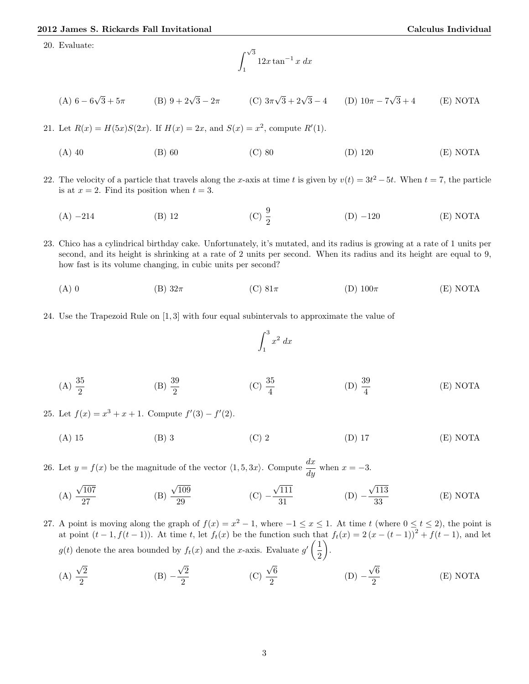20. Evaluate:

$$
\int_{1}^{\sqrt{3}} 12x \tan^{-1} x \, dx
$$

(A) 
$$
6 - 6\sqrt{3} + 5\pi
$$
 (B)  $9 + 2\sqrt{3} - 2\pi$  (C)  $3\pi\sqrt{3} + 2\sqrt{3} - 4$  (D)  $10\pi - 7\sqrt{3} + 4$  (E) NOTA

21. Let  $R(x) = H(5x)S(2x)$ . If  $H(x) = 2x$ , and  $S(x) = x^2$ , compute  $R'(1)$ .

(A) 40 (B) 60 (C) 80 (D) 120 (E) NOTA

22. The velocity of a particle that travels along the x-axis at time t is given by  $v(t) = 3t^2 - 5t$ . When  $t = 7$ , the particle is at  $x = 2$ . Find its position when  $t = 3$ .

(A) −214 (B) 12 (C)  $\frac{9}{2}$  $(D) -120$  (E) NOTA

23. Chico has a cylindrical birthday cake. Unfortunately, it's mutated, and its radius is growing at a rate of 1 units per second, and its height is shrinking at a rate of 2 units per second. When its radius and its height are equal to 9, how fast is its volume changing, in cubic units per second?

- (A) 0 (B)  $32\pi$  (C)  $81\pi$  (D)  $100\pi$  (E) NOTA
- 24. Use the Trapezoid Rule on [1, 3] with four equal subintervals to approximate the value of

$$
\int_1^3 x^2 \ dx
$$

(A)  $\frac{35}{2}$ (B)  $\frac{39}{2}$ (C)  $\frac{35}{4}$ (D)  $\frac{39}{4}$ (E) NOTA

25. Let  $f(x) = x^3 + x + 1$ . Compute  $f'(3) - f'(2)$ .

(A) 15 (B) 3 (C) 2 (D) 17 (E) NOTA

26. Let  $y = f(x)$  be the magnitude of the vector  $\langle 1, 5, 3x \rangle$ . Compute  $\frac{dx}{dy}$  when  $x = -3$ .

(A) 
$$
\frac{\sqrt{107}}{27}
$$
 (B)  $\frac{\sqrt{109}}{29}$  (C)  $-\frac{\sqrt{111}}{31}$  (D)  $-\frac{\sqrt{113}}{33}$  (E) NOTA

- 27. A point is moving along the graph of  $f(x) = x^2 1$ , where  $-1 \le x \le 1$ . At time t (where  $0 \le t \le 2$ ), the point is at point  $(t-1, f(t-1))$ . At time t, let  $f_t(x)$  be the function such that  $f_t(x) = 2(x - (t-1))^2 + f(t-1)$ , and let  $g(t)$  denote the area bounded by  $f_t(x)$  and the x-axis. Evaluate  $g'(\frac{1}{2})$ 2 .
	- (A) √ 2 2  $(B)$  − √ 2 2 (C) √ 6 2  $(D)$  − √ 6 2 (E) NOTA